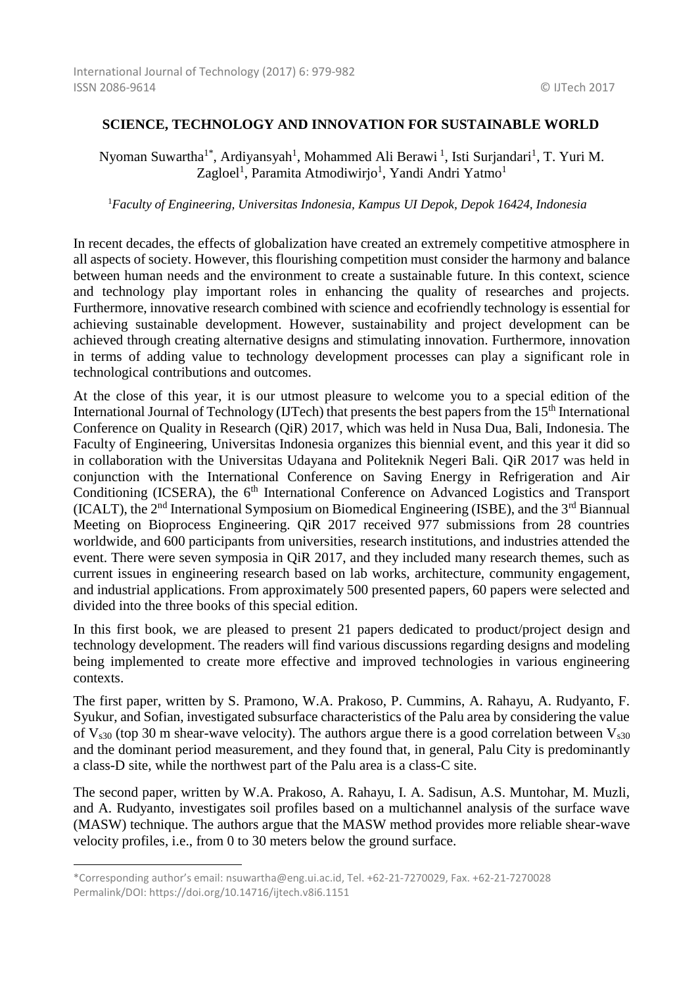## **SCIENCE, TECHNOLOGY AND INNOVATION FOR SUSTAINABLE WORLD**

Nyoman Suwartha<sup>1\*</sup>, Ardiyansyah<sup>1</sup>, Mohammed Ali Berawi<sup>1</sup>, Isti Surjandari<sup>1</sup>, T. Yuri M. Zagloel<sup>1</sup>, Paramita Atmodiwirjo<sup>1</sup>, Yandi Andri Yatmo<sup>1</sup>

<sup>1</sup>*Faculty of Engineering, Universitas Indonesia, Kampus UI Depok, Depok 16424, Indonesia* 

In recent decades, the effects of globalization have created an extremely competitive atmosphere in all aspects of society. However, this flourishing competition must consider the harmony and balance between human needs and the environment to create a sustainable future. In this context, science and technology play important roles in enhancing the quality of researches and projects. Furthermore, innovative research combined with science and ecofriendly technology is essential for achieving sustainable development. However, sustainability and project development can be achieved through creating alternative designs and stimulating innovation. Furthermore, innovation in terms of adding value to technology development processes can play a significant role in technological contributions and outcomes.

At the close of this year, it is our utmost pleasure to welcome you to a special edition of the International Journal of Technology (IJTech) that presents the best papers from the  $15<sup>th</sup>$  International Conference on Quality in Research (QiR) 2017, which was held in Nusa Dua, Bali, Indonesia. The Faculty of Engineering, Universitas Indonesia organizes this biennial event, and this year it did so in collaboration with the Universitas Udayana and Politeknik Negeri Bali. QiR 2017 was held in conjunction with the International Conference on Saving Energy in Refrigeration and Air Conditioning (ICSERA), the  $6<sup>th</sup>$  International Conference on Advanced Logistics and Transport (ICALT), the  $2<sup>nd</sup>$  International Symposium on Biomedical Engineering (ISBE), and the  $3<sup>rd</sup>$  Biannual Meeting on Bioprocess Engineering. QiR 2017 received 977 submissions from 28 countries worldwide, and 600 participants from universities, research institutions, and industries attended the event. There were seven symposia in QiR 2017, and they included many research themes, such as current issues in engineering research based on lab works, architecture, community engagement, and industrial applications. From approximately 500 presented papers, 60 papers were selected and divided into the three books of this special edition.

In this first book, we are pleased to present 21 papers dedicated to product/project design and technology development. The readers will find various discussions regarding designs and modeling being implemented to create more effective and improved technologies in various engineering contexts.

The first paper, written by S. Pramono, W.A. Prakoso, P. Cummins, A. Rahayu, A. Rudyanto, F. Syukur, and Sofian, investigated subsurface characteristics of the Palu area by considering the value of  $V<sub>s30</sub>$  (top 30 m shear-wave velocity). The authors argue there is a good correlation between  $V<sub>s30</sub>$ and the dominant period measurement, and they found that, in general, Palu City is predominantly a class-D site, while the northwest part of the Palu area is a class-C site.

The second paper, written by W.A. Prakoso, A. Rahayu, I. A. Sadisun, A.S. Muntohar, M. Muzli, and A. Rudyanto, investigates soil profiles based on a multichannel analysis of the surface wave (MASW) technique. The authors argue that the MASW method provides more reliable shear-wave velocity profiles, i.e., from 0 to 30 meters below the ground surface.

-

<sup>\*</sup>Corresponding author's email: nsuwartha@eng.ui.ac.id, Tel. +62-21-7270029, Fax. +62-21-7270028 Permalink/DOI: https://doi.org/10.14716/ijtech.v8i6.1151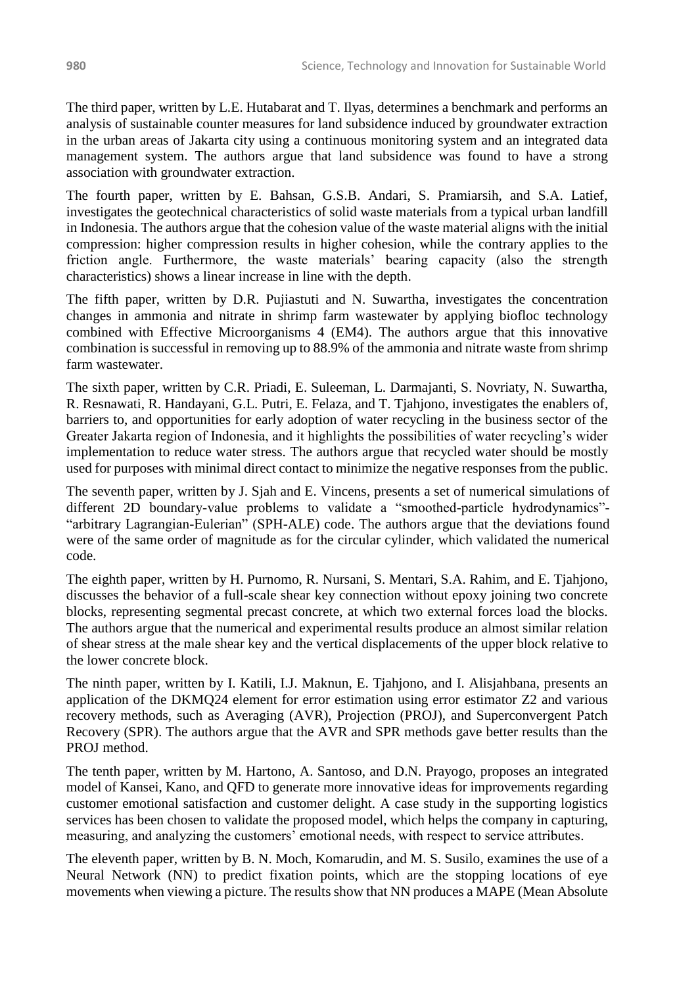The third paper, written by L.E. Hutabarat and T. Ilyas, determines a benchmark and performs an analysis of sustainable counter measures for land subsidence induced by groundwater extraction in the urban areas of Jakarta city using a continuous monitoring system and an integrated data management system. The authors argue that land subsidence was found to have a strong association with groundwater extraction.

The fourth paper, written by E. Bahsan, G.S.B. Andari, S. Pramiarsih, and S.A. Latief, investigates the geotechnical characteristics of solid waste materials from a typical urban landfill in Indonesia. The authors argue that the cohesion value of the waste material aligns with the initial compression: higher compression results in higher cohesion, while the contrary applies to the friction angle. Furthermore, the waste materials' bearing capacity (also the strength characteristics) shows a linear increase in line with the depth.

The fifth paper, written by D.R. Pujiastuti and N. Suwartha, investigates the concentration changes in ammonia and nitrate in shrimp farm wastewater by applying biofloc technology combined with Effective Microorganisms 4 (EM4). The authors argue that this innovative combination is successful in removing up to 88.9% of the ammonia and nitrate waste from shrimp farm wastewater.

The sixth paper, written by C.R. Priadi, E. Suleeman, L. Darmajanti, S. Novriaty, N. Suwartha, R. Resnawati, R. Handayani, G.L. Putri, E. Felaza, and T. Tjahjono, investigates the enablers of, barriers to, and opportunities for early adoption of water recycling in the business sector of the Greater Jakarta region of Indonesia, and it highlights the possibilities of water recycling's wider implementation to reduce water stress. The authors argue that recycled water should be mostly used for purposes with minimal direct contact to minimize the negative responses from the public.

The seventh paper, written by J. Sjah and E. Vincens, presents a set of numerical simulations of different 2D boundary-value problems to validate a "smoothed-particle hydrodynamics"- "arbitrary Lagrangian-Eulerian" (SPH-ALE) code. The authors argue that the deviations found were of the same order of magnitude as for the circular cylinder, which validated the numerical code.

The eighth paper, written by H. Purnomo, R. Nursani, S. Mentari, S.A. Rahim, and E. Tjahjono, discusses the behavior of a full-scale shear key connection without epoxy joining two concrete blocks, representing segmental precast concrete, at which two external forces load the blocks. The authors argue that the numerical and experimental results produce an almost similar relation of shear stress at the male shear key and the vertical displacements of the upper block relative to the lower concrete block.

The ninth paper, written by I. Katili, I.J. Maknun, E. Tjahjono, and I. Alisjahbana, presents an application of the DKMQ24 element for error estimation using error estimator Z2 and various recovery methods, such as Averaging (AVR), Projection (PROJ), and Superconvergent Patch Recovery (SPR). The authors argue that the AVR and SPR methods gave better results than the PROJ method.

The tenth paper, written by M. Hartono, A. Santoso, and D.N. Prayogo, proposes an integrated model of Kansei, Kano, and QFD to generate more innovative ideas for improvements regarding customer emotional satisfaction and customer delight. A case study in the supporting logistics services has been chosen to validate the proposed model, which helps the company in capturing, measuring, and analyzing the customers' emotional needs, with respect to service attributes.

The eleventh paper, written by B. N. Moch, Komarudin, and M. S. Susilo, examines the use of a Neural Network (NN) to predict fixation points, which are the stopping locations of eye movements when viewing a picture. The results show that NN produces a MAPE (Mean Absolute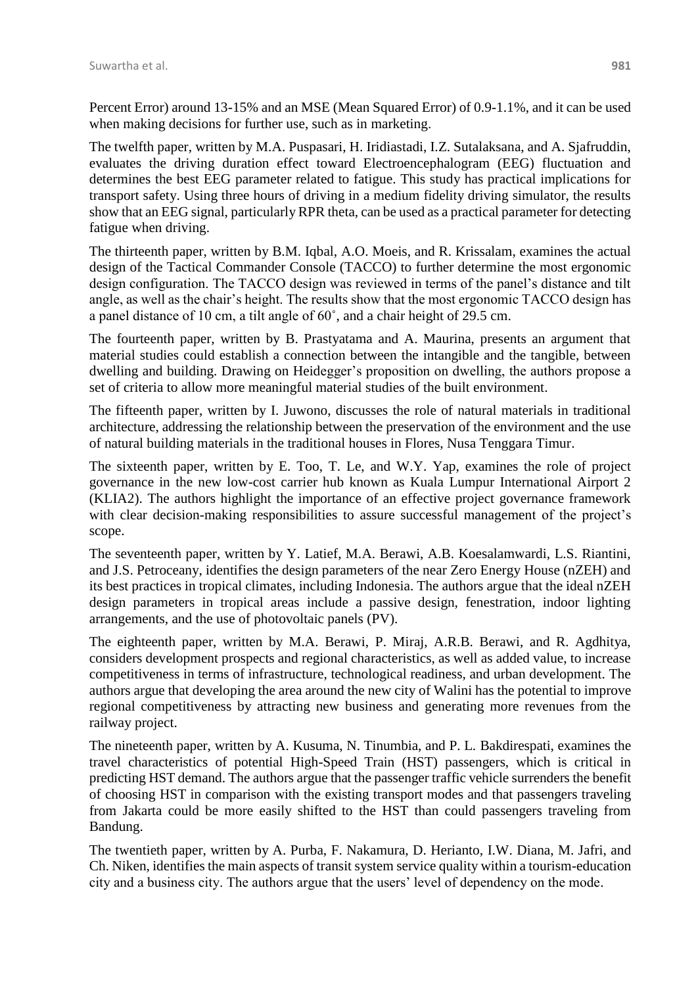Percent Error) around 13-15% and an MSE (Mean Squared Error) of 0.9-1.1%, and it can be used when making decisions for further use, such as in marketing.

The twelfth paper, written by M.A. Puspasari, H. Iridiastadi, I.Z. Sutalaksana, and A. Sjafruddin, evaluates the driving duration effect toward Electroencephalogram (EEG) fluctuation and determines the best EEG parameter related to fatigue. This study has practical implications for transport safety. Using three hours of driving in a medium fidelity driving simulator, the results show that an EEG signal, particularly RPR theta, can be used as a practical parameter for detecting fatigue when driving.

The thirteenth paper, written by B.M. Iqbal, A.O. Moeis, and R. Krissalam, examines the actual design of the Tactical Commander Console (TACCO) to further determine the most ergonomic design configuration. The TACCO design was reviewed in terms of the panel's distance and tilt angle, as well as the chair's height. The results show that the most ergonomic TACCO design has a panel distance of 10 cm, a tilt angle of 60˚, and a chair height of 29.5 cm.

The fourteenth paper, written by B. Prastyatama and A. Maurina, presents an argument that material studies could establish a connection between the intangible and the tangible, between dwelling and building. Drawing on Heidegger's proposition on dwelling, the authors propose a set of criteria to allow more meaningful material studies of the built environment.

The fifteenth paper, written by I. Juwono, discusses the role of natural materials in traditional architecture, addressing the relationship between the preservation of the environment and the use of natural building materials in the traditional houses in Flores, Nusa Tenggara Timur.

The sixteenth paper, written by E. Too, T. Le, and W.Y. Yap, examines the role of project governance in the new low-cost carrier hub known as Kuala Lumpur International Airport 2 (KLIA2). The authors highlight the importance of an effective project governance framework with clear decision-making responsibilities to assure successful management of the project's scope.

The seventeenth paper, written by Y. Latief, M.A. Berawi, A.B. Koesalamwardi, L.S. Riantini, and J.S. Petroceany, identifies the design parameters of the near Zero Energy House (nZEH) and its best practices in tropical climates, including Indonesia. The authors argue that the ideal nZEH design parameters in tropical areas include a passive design, fenestration, indoor lighting arrangements, and the use of photovoltaic panels (PV).

The eighteenth paper, written by M.A. Berawi, P. Miraj, A.R.B. Berawi, and R. Agdhitya, considers development prospects and regional characteristics, as well as added value, to increase competitiveness in terms of infrastructure, technological readiness, and urban development. The authors argue that developing the area around the new city of Walini has the potential to improve regional competitiveness by attracting new business and generating more revenues from the railway project.

The nineteenth paper, written by A. Kusuma, N. Tinumbia, and P. L. Bakdirespati, examines the travel characteristics of potential High-Speed Train (HST) passengers, which is critical in predicting HST demand. The authors argue that the passenger traffic vehicle surrenders the benefit of choosing HST in comparison with the existing transport modes and that passengers traveling from Jakarta could be more easily shifted to the HST than could passengers traveling from Bandung.

The twentieth paper, written by A. Purba, F. Nakamura, D. Herianto, I.W. Diana, M. Jafri, and Ch. Niken, identifies the main aspects of transit system service quality within a tourism-education city and a business city. The authors argue that the users' level of dependency on the mode.